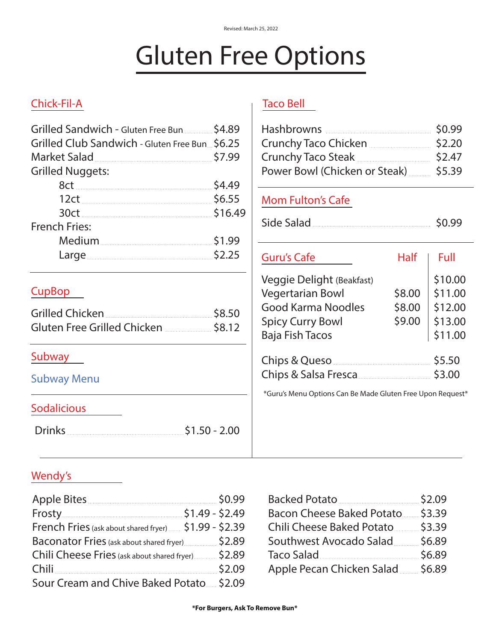# Gluten Free Options

# Chick-Fil-A Taco Bell

| Grilled Sandwich - Gluten Free Bun  \$4.89    |
|-----------------------------------------------|
| Grilled Club Sandwich - Gluten Free Bun\$6.25 |
| Market Salad 57.99                            |
|                                               |
| \$4.49                                        |
| \$6.55                                        |
| \$16.49                                       |
|                                               |
| \$1.99                                        |
| 52.25                                         |
|                                               |

Grilled Chicken \$8.50 Gluten Free Grilled Chicken \$8.12

| Crunchy Taco Chicken<br>Crunchy Taco Steak<br>Power Bowl (Chicken or Steak) <b>manufatry</b> |        | \$0.99<br>\$2.20<br>\$2.47<br>\$5.39 |
|----------------------------------------------------------------------------------------------|--------|--------------------------------------|
| <b>Mom Fulton's Cafe</b>                                                                     |        |                                      |
| Side Salad                                                                                   |        | \$0.99                               |
| Guru's Cafe                                                                                  | Half   | Full                                 |
| Veggie Delight (Beakfast)                                                                    |        | \$10.00                              |
| <b>Vegertarian Bowl</b>                                                                      | \$8.00 | \$11.00                              |
| <b>Good Karma Noodles</b>                                                                    | \$8.00 | \$12.00                              |
| <b>Spicy Curry Bowl</b>                                                                      | \$9.00 | \$13.00                              |
| <b>Baja Fish Tacos</b>                                                                       |        | \$11.00                              |
|                                                                                              |        | \$5.50                               |
|                                                                                              |        | \$3.00                               |
|                                                                                              |        |                                      |

\*Guru's Menu Options Can Be Made Gluten Free Upon Request\*

## Sodalicious

[Subway Menu](https://www.subway.com/en-US/MenuNutrition/Menu/BreadsAndToppings)

Subway

CupBop

Drinks \$1.50 - 2.00

## Wendy's

| Apple Bites <u>2008</u> SO.99                         |  |
|-------------------------------------------------------|--|
| Frosty \$1.49 - \$2.49                                |  |
| French Fries (ask about shared fryer) \$1.99 - \$2.39 |  |
| Baconator Fries (ask about shared fryer) \$2.89       |  |
| Chili Cheese Fries (ask about shared fryer) \$2.89    |  |
| Chili \$2.09                                          |  |
| Sour Cream and Chive Baked Potato 52.09               |  |

| Backed Potato 32.09             |  |
|---------------------------------|--|
| Bacon Cheese Baked Potato 53.39 |  |
| Chili Cheese Baked Potato 53.39 |  |
| Southwest Avocado Salad \$6.89  |  |
| Taco Salad 56.89                |  |
| Apple Pecan Chicken Salad 56.89 |  |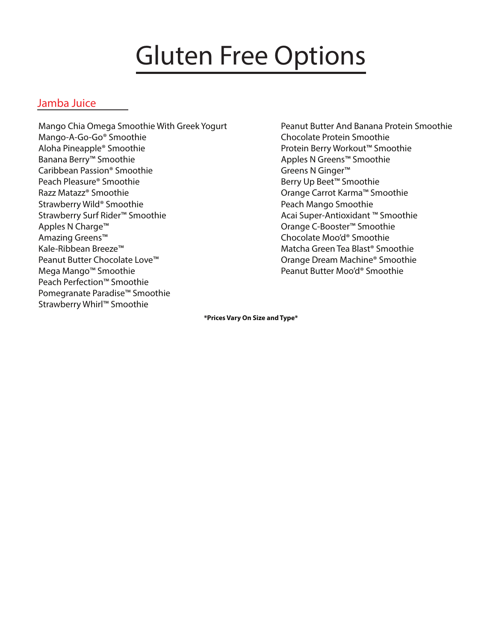# Gluten Free Options

### Jamba Juice

Mango Chia Omega Smoothie With Greek Yogurt Mango-A-Go-Go® Smoothie Aloha Pineapple® Smoothie Banana Berry™ Smoothie Caribbean Passion® Smoothie Peach Pleasure® Smoothie Razz Matazz® Smoothie Strawberry Wild® Smoothie Strawberry Surf Rider™ Smoothie Apples N Charge™ Amazing Greens™ Kale-Ribbean Breeze™ Peanut Butter Chocolate Love™ Mega Mango™ Smoothie Peach Perfection™ Smoothie Pomegranate Paradise™ Smoothie Strawberry Whirl™ Smoothie

Peanut Butter And Banana Protein Smoothie Chocolate Protein Smoothie Protein Berry Workout™ Smoothie Apples N Greens™ Smoothie Greens N Ginger™ Berry Up Beet™ Smoothie Orange Carrot Karma™ Smoothie Peach Mango Smoothie Acai Super-Antioxidant ™ Smoothie Orange C-Booster™ Smoothie Chocolate Moo'd® Smoothie Matcha Green Tea Blast® Smoothie Orange Dream Machine® Smoothie Peanut Butter Moo'd® Smoothie

**\*Prices Vary On Size and Type\***